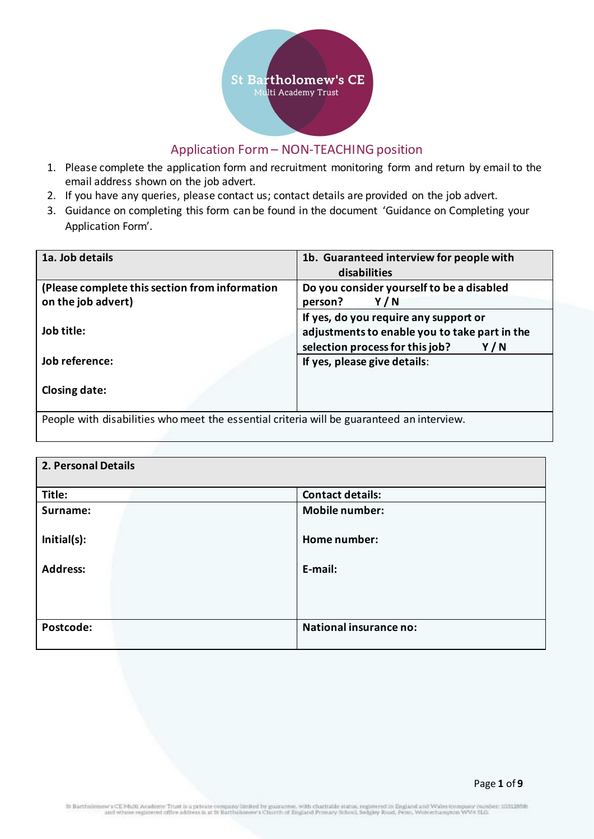

# Application Form – NON-TEACHING position

- 1. Please complete the application form and recruitment monitoring form and return by email to the email address shown on the job advert.
- 2. If you have any queries, please contact us; contact details are provided on the job advert.
- 3. Guidance on completing this form can be found in the document 'Guidance on Completing your Application Form'.

| 1a. Job details                                                                           | 1b. Guaranteed interview for people with      |  |
|-------------------------------------------------------------------------------------------|-----------------------------------------------|--|
|                                                                                           | disabilities                                  |  |
| (Please complete this section from information                                            | Do you consider yourself to be a disabled     |  |
| on the job advert)                                                                        | Y/N<br>person?                                |  |
|                                                                                           | If yes, do you require any support or         |  |
| Job title:                                                                                | adjustments to enable you to take part in the |  |
|                                                                                           | selection process for this job?<br>Y/N        |  |
| Job reference:                                                                            | If yes, please give details:                  |  |
|                                                                                           |                                               |  |
| Closing date:                                                                             |                                               |  |
|                                                                                           |                                               |  |
| People with disabilities who meet the essential criteria will be guaranteed an interview. |                                               |  |

| 2. Personal Details |                               |  |
|---------------------|-------------------------------|--|
| Title:              | <b>Contact details:</b>       |  |
| Surname:            | <b>Mobile number:</b>         |  |
| Initial(s):         | Home number:                  |  |
| <b>Address:</b>     | E-mail:                       |  |
|                     |                               |  |
| Postcode:           | <b>National insurance no:</b> |  |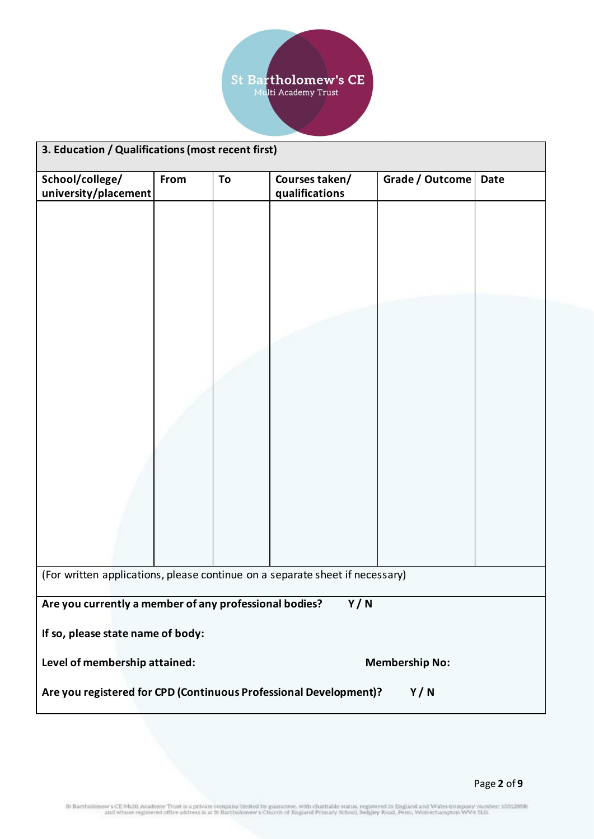

| 3. Education / Qualifications (most recent first)                            |      |    |                |                 |             |
|------------------------------------------------------------------------------|------|----|----------------|-----------------|-------------|
| School/college/                                                              | From | To | Courses taken/ | Grade / Outcome | <b>Date</b> |
| university/placement                                                         |      |    | qualifications |                 |             |
|                                                                              |      |    |                |                 |             |
|                                                                              |      |    |                |                 |             |
|                                                                              |      |    |                |                 |             |
|                                                                              |      |    |                |                 |             |
|                                                                              |      |    |                |                 |             |
|                                                                              |      |    |                |                 |             |
|                                                                              |      |    |                |                 |             |
|                                                                              |      |    |                |                 |             |
|                                                                              |      |    |                |                 |             |
|                                                                              |      |    |                |                 |             |
|                                                                              |      |    |                |                 |             |
|                                                                              |      |    |                |                 |             |
|                                                                              |      |    |                |                 |             |
|                                                                              |      |    |                |                 |             |
| (For written applications, please continue on a separate sheet if necessary) |      |    |                |                 |             |
| Are you currently a member of any professional bodies?<br>Y/N                |      |    |                |                 |             |
|                                                                              |      |    |                |                 |             |
| If so, please state name of body:                                            |      |    |                |                 |             |
| Level of membership attained:<br><b>Membership No:</b>                       |      |    |                |                 |             |
| Are you registered for CPD (Continuous Professional Development)?<br>Y/N     |      |    |                |                 |             |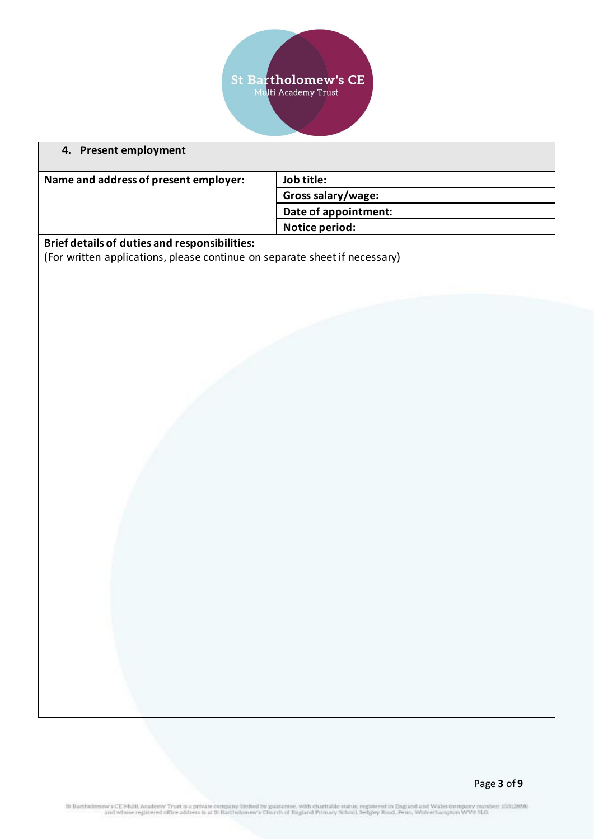

| 4. Present employment                                                      |                      |  |
|----------------------------------------------------------------------------|----------------------|--|
| Name and address of present employer:                                      | Job title:           |  |
|                                                                            | Gross salary/wage:   |  |
|                                                                            | Date of appointment: |  |
|                                                                            | Notice period:       |  |
| Brief details of duties and responsibilities:                              |                      |  |
| (For written applications, please continue on separate sheet if necessary) |                      |  |
|                                                                            |                      |  |
|                                                                            |                      |  |
|                                                                            |                      |  |
|                                                                            |                      |  |
|                                                                            |                      |  |
|                                                                            |                      |  |
|                                                                            |                      |  |
|                                                                            |                      |  |
|                                                                            |                      |  |
|                                                                            |                      |  |
|                                                                            |                      |  |
|                                                                            |                      |  |
|                                                                            |                      |  |
|                                                                            |                      |  |
|                                                                            |                      |  |
|                                                                            |                      |  |
|                                                                            |                      |  |
|                                                                            |                      |  |
|                                                                            |                      |  |
|                                                                            |                      |  |
|                                                                            |                      |  |
|                                                                            |                      |  |
|                                                                            |                      |  |
|                                                                            |                      |  |
|                                                                            |                      |  |
|                                                                            |                      |  |
|                                                                            |                      |  |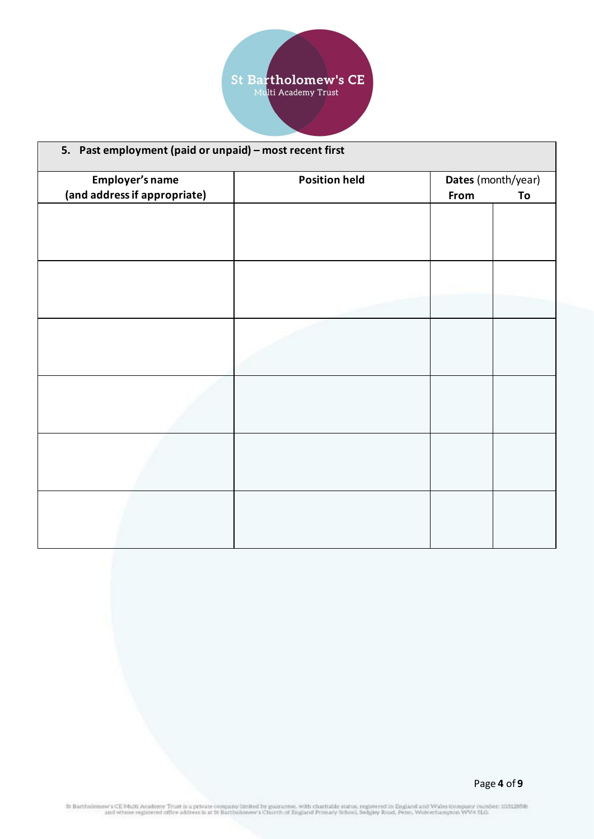

| 5. Past employment (paid or unpaid) - most recent first |                      |                    |    |
|---------------------------------------------------------|----------------------|--------------------|----|
| Employer's name                                         | <b>Position held</b> | Dates (month/year) |    |
| (and address if appropriate)                            |                      | From               | To |
|                                                         |                      |                    |    |
|                                                         |                      |                    |    |
|                                                         |                      |                    |    |
|                                                         |                      |                    |    |
|                                                         |                      |                    |    |
|                                                         |                      |                    |    |
|                                                         |                      |                    |    |
|                                                         |                      |                    |    |
|                                                         |                      |                    |    |
|                                                         |                      |                    |    |
|                                                         |                      |                    |    |
|                                                         |                      |                    |    |
|                                                         |                      |                    |    |
|                                                         |                      |                    |    |
|                                                         |                      |                    |    |
|                                                         |                      |                    |    |
|                                                         |                      |                    |    |
|                                                         |                      |                    |    |
|                                                         |                      |                    |    |
|                                                         |                      |                    |    |
|                                                         |                      |                    |    |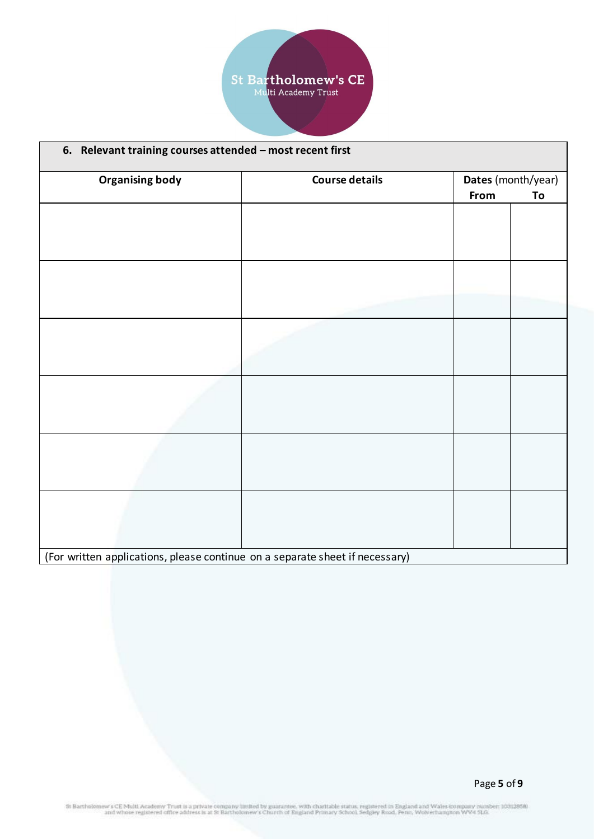

| 6. Relevant training courses attended - most recent first                    |                       |      |                    |
|------------------------------------------------------------------------------|-----------------------|------|--------------------|
| <b>Organising body</b>                                                       | <b>Course details</b> |      | Dates (month/year) |
|                                                                              |                       | From | To                 |
|                                                                              |                       |      |                    |
|                                                                              |                       |      |                    |
|                                                                              |                       |      |                    |
|                                                                              |                       |      |                    |
|                                                                              |                       |      |                    |
|                                                                              |                       |      |                    |
|                                                                              |                       |      |                    |
|                                                                              |                       |      |                    |
|                                                                              |                       |      |                    |
|                                                                              |                       |      |                    |
|                                                                              |                       |      |                    |
|                                                                              |                       |      |                    |
|                                                                              |                       |      |                    |
|                                                                              |                       |      |                    |
|                                                                              |                       |      |                    |
|                                                                              |                       |      |                    |
|                                                                              |                       |      |                    |
|                                                                              |                       |      |                    |
|                                                                              |                       |      |                    |
| (For written applications, please continue on a separate sheet if necessary) |                       |      |                    |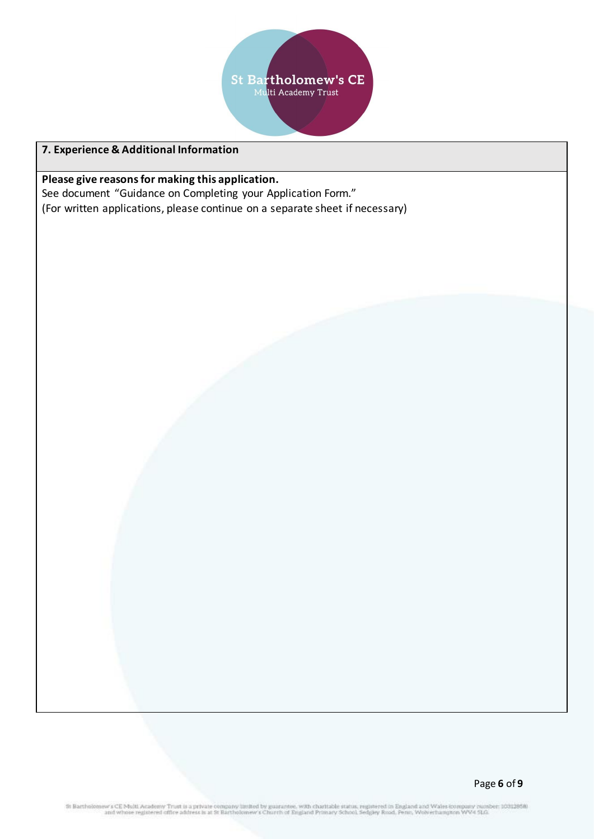

# **7. Experience & Additional Information**

**Please give reasons for making this application.**  See document "Guidance on Completing your Application Form."

(For written applications, please continue on a separate sheet if necessary)

St Bartholomew s CE Multi Academy Trust is a private company limited by guarantee, with charitable status, registered in England and Wales (company number; 10312858).<br>and whose registered office address is at St Bartholome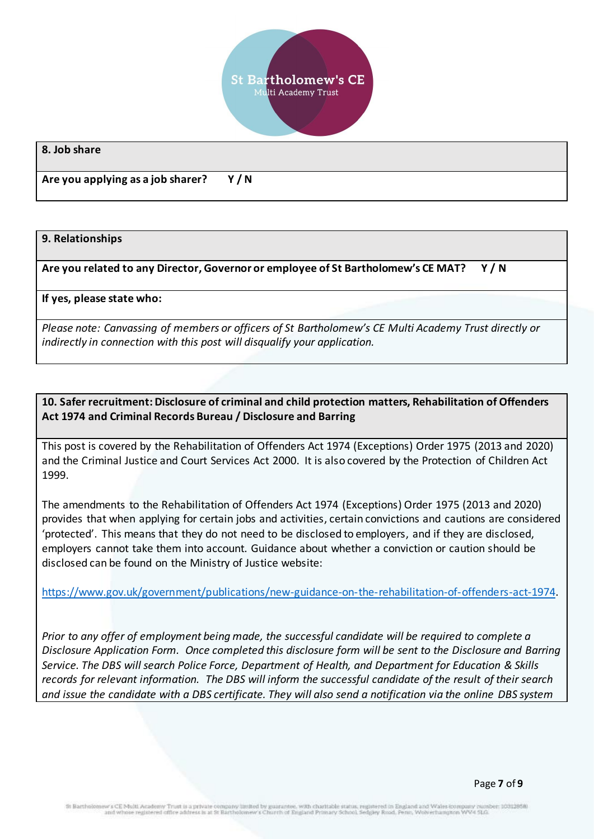

#### **8. Job share**

**Are you applying as a job sharer? Y / N**

#### **9. Relationships**

**Are you related to any Director, Governor or employee of St Bartholomew's CE MAT? Y / N**

**If yes, please state who:** 

*Please note: Canvassing of members or officers of St Bartholomew's CE Multi Academy Trust directly or indirectly in connection with this post will disqualify your application.*

## **10. Safer recruitment: Disclosure of criminal and child protection matters, Rehabilitation of Offenders Act 1974 and Criminal Records Bureau / Disclosure and Barring**

This post is covered by the Rehabilitation of Offenders Act 1974 (Exceptions) Order 1975 (2013 and 2020) and the Criminal Justice and Court Services Act 2000. It is also covered by the Protection of Children Act 1999.

The amendments to the Rehabilitation of Offenders Act 1974 (Exceptions) Order 1975 (2013 and 2020) provides that when applying for certain jobs and activities, certain convictions and cautions are considered 'protected'. This means that they do not need to be disclosed to employers, and if they are disclosed, employers cannot take them into account. Guidance about whether a conviction or caution should be disclosed can be found on the Ministry of Justice website:

[https://www.gov.uk/government/publications/new-guidance-on-the-rehabilitation-of-offenders-act-1974.](https://www.gov.uk/government/publications/new-guidance-on-the-rehabilitation-of-offenders-act-1974)

*Prior to any offer of employment being made, the successful candidate will be required to complete a Disclosure Application Form. Once completed this disclosure form will be sent to the Disclosure and Barring Service. The DBS will search Police Force, Department of Health, and Department for Education & Skills records for relevant information. The DBS will inform the successful candidate of the result of their search and issue the candidate with a DBS certificate. They will also send a notification via the online DBS system*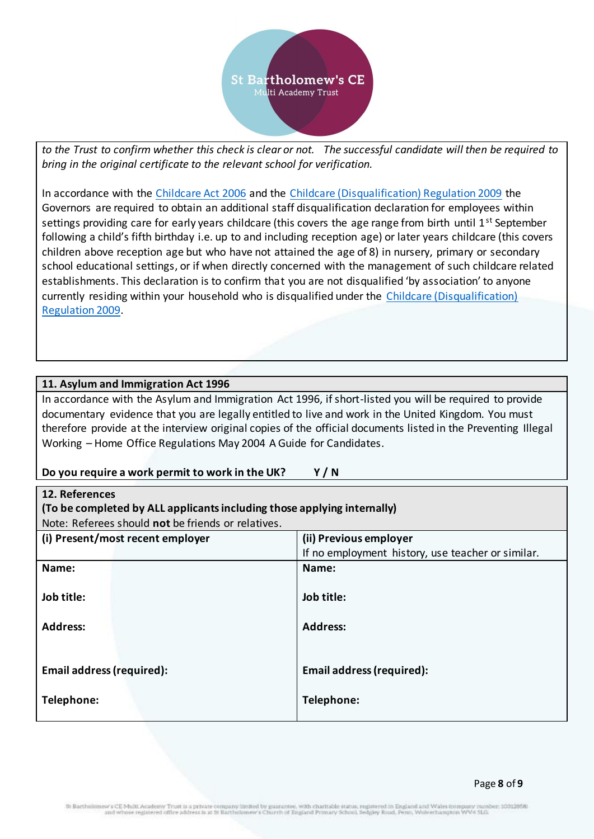

*to the Trust to confirm whether this check is clear or not. The successful candidate will then be required to bring in the original certificate to the relevant school for verification.*

In accordance with the [Childcare Act 2006](http://www.legislation.gov.uk/ukpga/2006/21/contents) and the [Childcare \(Disqualification\) Regulation 2009](http://www.legislation.gov.uk/uksi/2009/1547/contents/made) the Governors are required to obtain an additional staff disqualification declaration for employees within settings providing care for early years childcare (this covers the age range from birth until 1<sup>st</sup> September following a child's fifth birthday i.e. up to and including reception age) or later years childcare (this covers children above reception age but who have not attained the age of 8) in nursery, primary or secondary school educational settings, or if when directly concerned with the management of such childcare related establishments. This declaration is to confirm that you are not disqualified 'by association' to anyone currently residing within your household who is disqualified under the [Childcare \(Disqualification\)](http://www.legislation.gov.uk/uksi/2009/1547/contents/made)  [Regulation 2009.](http://www.legislation.gov.uk/uksi/2009/1547/contents/made)

## **11. Asylum and Immigration Act 1996**

In accordance with the Asylum and Immigration Act 1996, if short-listed you will be required to provide documentary evidence that you are legally entitled to live and work in the United Kingdom. You must therefore provide at the interview original copies of the official documents listed in the Preventing Illegal Working – Home Office Regulations May 2004 A Guide for Candidates.

## **Do you require a work permit to work in the UK? Y / N**

| 12. References                                                          |                                                   |  |
|-------------------------------------------------------------------------|---------------------------------------------------|--|
| (To be completed by ALL applicants including those applying internally) |                                                   |  |
| Note: Referees should not be friends or relatives.                      |                                                   |  |
| (i) Present/most recent employer                                        | (ii) Previous employer                            |  |
|                                                                         | If no employment history, use teacher or similar. |  |
| Name:                                                                   | Name:                                             |  |
|                                                                         |                                                   |  |
| Job title:                                                              | Job title:                                        |  |
|                                                                         |                                                   |  |
| <b>Address:</b>                                                         | <b>Address:</b>                                   |  |
|                                                                         |                                                   |  |
|                                                                         |                                                   |  |
| <b>Email address (required):</b>                                        | <b>Email address (required):</b>                  |  |
|                                                                         |                                                   |  |
| Telephone:                                                              | Telephone:                                        |  |
|                                                                         |                                                   |  |